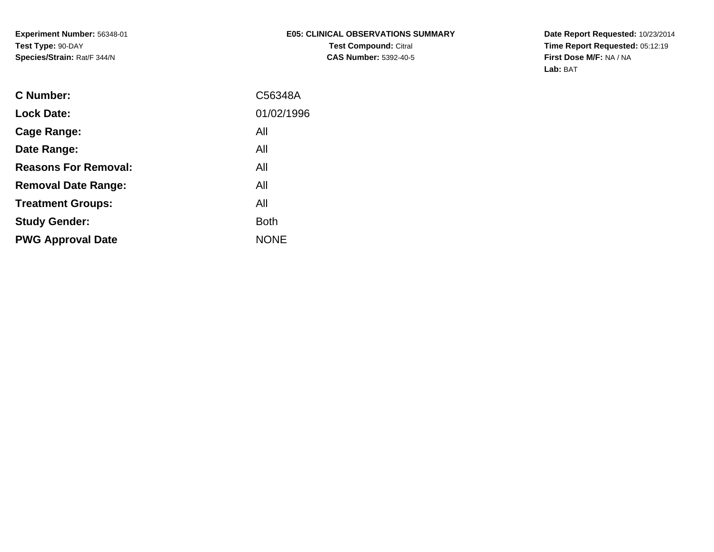**Date Report Requested:** 10/23/2014 **Time Report Requested:** 05:12:19**First Dose M/F:** NA / NA**Lab:** BAT

| <b>C</b> Number:            | C56348A     |
|-----------------------------|-------------|
| <b>Lock Date:</b>           | 01/02/1996  |
| Cage Range:                 | All         |
| Date Range:                 | All         |
| <b>Reasons For Removal:</b> | All         |
| <b>Removal Date Range:</b>  | All         |
| <b>Treatment Groups:</b>    | All         |
| <b>Study Gender:</b>        | <b>Both</b> |
| <b>PWG Approval Date</b>    | <b>NONE</b> |
|                             |             |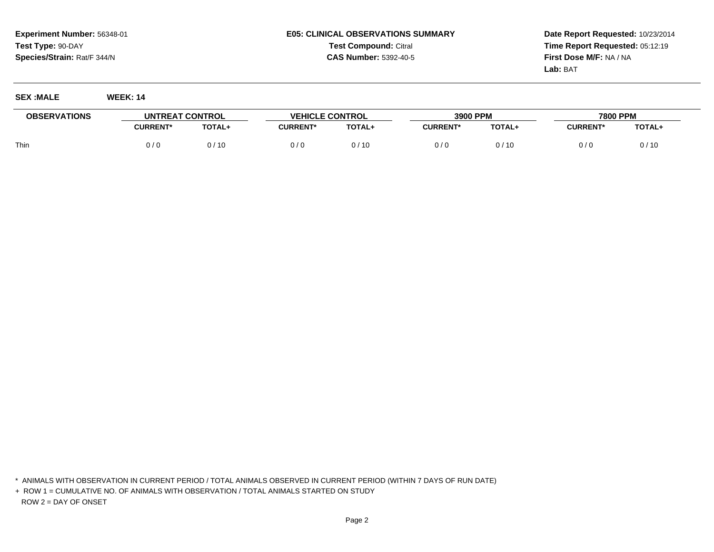## **E05: CLINICAL OBSERVATIONS SUMMARYTest Compound:** Citral **CAS Number:** 5392-40-5

**Date Report Requested:** 10/23/2014**Time Report Requested:** 05:12:19**First Dose M/F:** NA / NA**Lab:** BAT

| <b>OBSERVATIONS</b> | UNTREAT CONTROL |        | <b>VEHICLE CONTROL</b> |        | 3900 PPM        |        | 7800 PPM        |        |
|---------------------|-----------------|--------|------------------------|--------|-----------------|--------|-----------------|--------|
|                     | <b>:URRENT*</b> | TOTAL+ | <b>CURRENT*</b>        | TOTAL+ | <b>CURRENT*</b> | TOTAL+ | <b>CURRENT*</b> | TOTAL+ |
| Thin                | 0 / 0           | 0 / 10 |                        | 0/10   |                 |        | 0/0             | 0/10   |

\* ANIMALS WITH OBSERVATION IN CURRENT PERIOD / TOTAL ANIMALS OBSERVED IN CURRENT PERIOD (WITHIN 7 DAYS OF RUN DATE)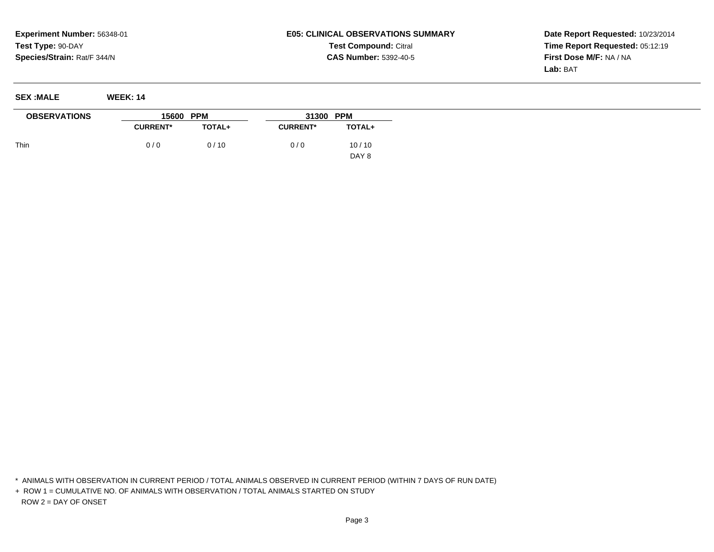## **E05: CLINICAL OBSERVATIONS SUMMARYTest Compound:** Citral **CAS Number:** 5392-40-5

**Date Report Requested:** 10/23/2014**Time Report Requested:** 05:12:19**First Dose M/F:** NA / NA**Lab:** BAT

**SEX :MALE WEEK: 14**

| <b>OBSERVATIONS</b> | 15600 PPM       |               | 31300 PPM       |                           |  |
|---------------------|-----------------|---------------|-----------------|---------------------------|--|
|                     | <b>CURRENT*</b> | <b>TOTAL+</b> | <b>CURRENT*</b> | TOTAL+                    |  |
| Thin                | 0/0             | 0/10          | 0/0             | 10/10<br>DAY <sub>8</sub> |  |

\* ANIMALS WITH OBSERVATION IN CURRENT PERIOD / TOTAL ANIMALS OBSERVED IN CURRENT PERIOD (WITHIN 7 DAYS OF RUN DATE)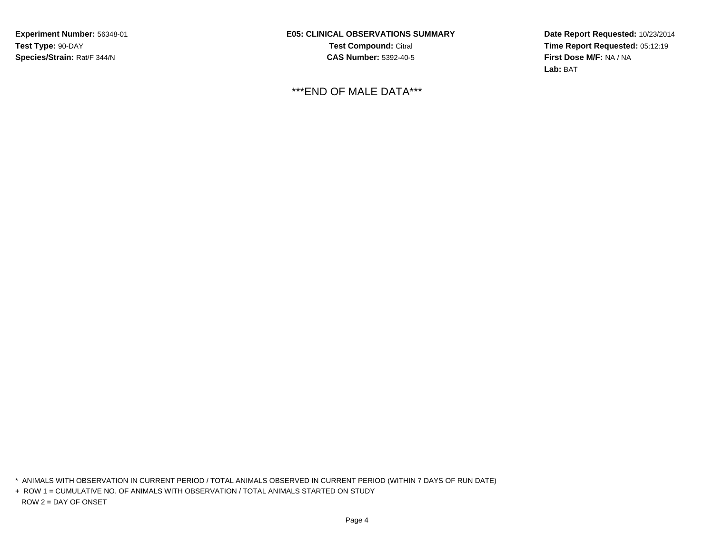**E05: CLINICAL OBSERVATIONS SUMMARYTest Compound:** Citral **CAS Number:** 5392-40-5

\*\*\*END OF MALE DATA\*\*\*

**Date Report Requested:** 10/23/2014**Time Report Requested:** 05:12:19**First Dose M/F:** NA / NA**Lab:** BAT

\* ANIMALS WITH OBSERVATION IN CURRENT PERIOD / TOTAL ANIMALS OBSERVED IN CURRENT PERIOD (WITHIN 7 DAYS OF RUN DATE)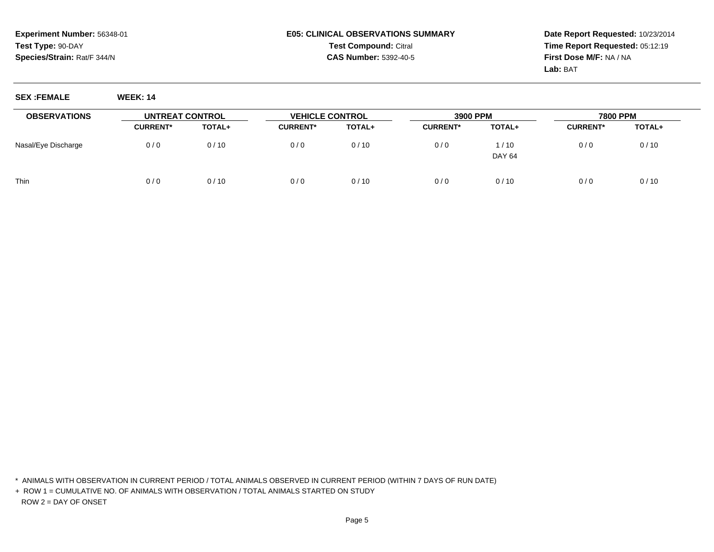**SEX :FEMALE WEEK: 14**

### **E05: CLINICAL OBSERVATIONS SUMMARYTest Compound:** Citral **CAS Number:** 5392-40-5

**Date Report Requested:** 10/23/2014**Time Report Requested:** 05:12:19**First Dose M/F:** NA / NA**Lab:** BAT

| <b>OBSERVATIONS</b> | UNTREAT CONTROL |        | <b>VEHICLE CONTROL</b> |               | 3900 PPM        |                       | 7800 PPM        |        |
|---------------------|-----------------|--------|------------------------|---------------|-----------------|-----------------------|-----------------|--------|
|                     | <b>CURRENT*</b> | TOTAL+ | <b>CURRENT*</b>        | <b>TOTAL+</b> | <b>CURRENT*</b> | TOTAL+                | <b>CURRENT*</b> | TOTAL+ |
| Nasal/Eye Discharge | 0/0             | 0/10   | 0/0                    | 0/10          | 0/0             | 1/10<br><b>DAY 64</b> | 0/0             | 0/10   |
| Thin                | 0/0             | 0/10   | 0/0                    | 0/10          | 0/0             | 0/10                  | 0/0             | 0/10   |

\* ANIMALS WITH OBSERVATION IN CURRENT PERIOD / TOTAL ANIMALS OBSERVED IN CURRENT PERIOD (WITHIN 7 DAYS OF RUN DATE)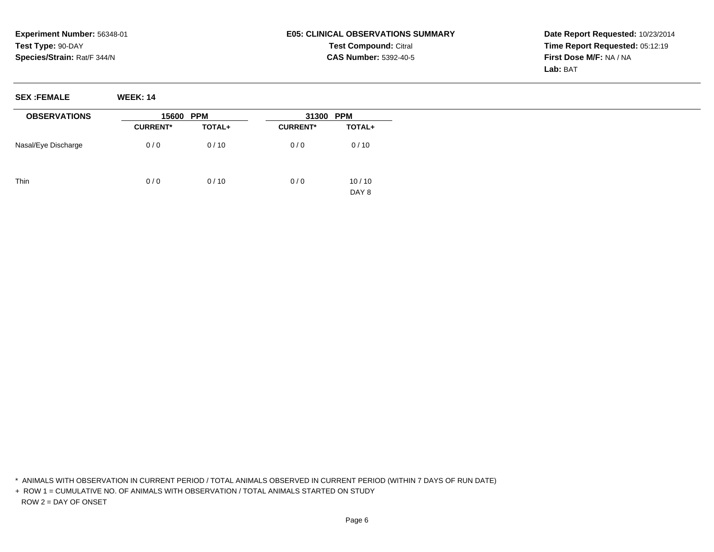# **E05: CLINICAL OBSERVATIONS SUMMARYTest Compound:** Citral **CAS Number:** 5392-40-5

**Date Report Requested:** 10/23/2014**Time Report Requested:** 05:12:19**First Dose M/F:** NA / NA**Lab:** BAT

**SEX :FEMALE WEEK: 14**

| <b>OBSERVATIONS</b> | 15600           | <b>PPM</b> | 31300 PPM       |                |  |
|---------------------|-----------------|------------|-----------------|----------------|--|
|                     | <b>CURRENT*</b> | TOTAL+     | <b>CURRENT*</b> | TOTAL+         |  |
| Nasal/Eye Discharge | 0/0             | 0/10       | 0/0             | 0/10           |  |
| Thin                | 0/0             | 0/10       | 0/0             | 10/10<br>DAY 8 |  |

\* ANIMALS WITH OBSERVATION IN CURRENT PERIOD / TOTAL ANIMALS OBSERVED IN CURRENT PERIOD (WITHIN 7 DAYS OF RUN DATE)